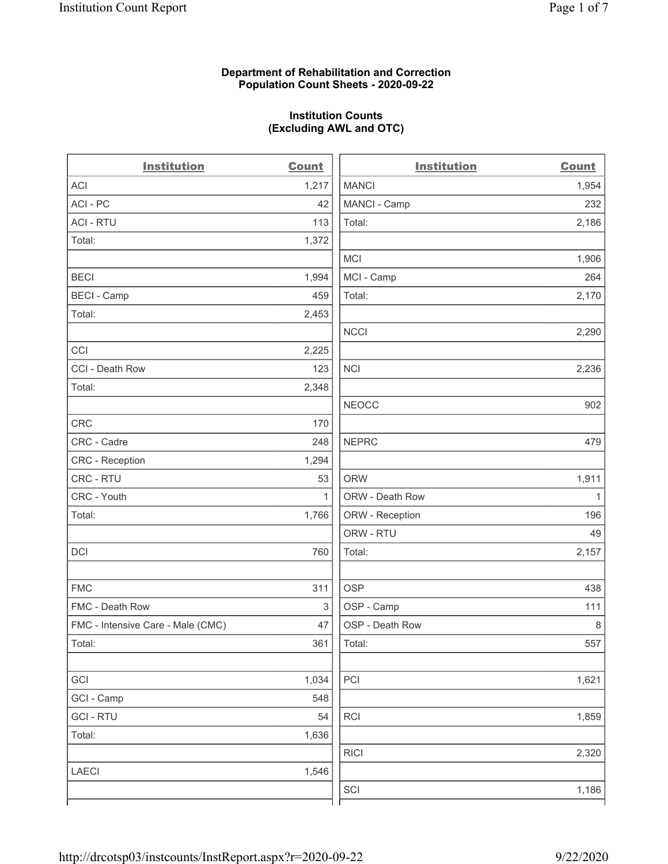### Department of Rehabilitation and Correction Population Count Sheets - 2020-09-22

# Institution Counts (Excluding AWL and OTC)

 $\overline{a}$ 

| <b>Institution</b>                | <b>Count</b> | <b>Institution</b> | <b>Count</b> |
|-----------------------------------|--------------|--------------------|--------------|
| ACI                               | 1,217        | <b>MANCI</b>       | 1,954        |
| ACI - PC                          | 42           | MANCI - Camp       | 232          |
| <b>ACI - RTU</b>                  | 113          | Total:             | 2,186        |
| Total:                            | 1,372        |                    |              |
|                                   |              | <b>MCI</b>         | 1,906        |
| <b>BECI</b>                       | 1,994        | MCI - Camp         | 264          |
| <b>BECI - Camp</b>                | 459          | Total:             | 2,170        |
| Total:                            | 2,453        |                    |              |
|                                   |              | <b>NCCI</b>        | 2,290        |
| CCI                               | 2,225        |                    |              |
| CCI - Death Row                   | 123          | <b>NCI</b>         | 2,236        |
| Total:                            | 2,348        |                    |              |
|                                   |              | <b>NEOCC</b>       | 902          |
| <b>CRC</b>                        | 170          |                    |              |
| CRC - Cadre                       | 248          | <b>NEPRC</b>       | 479          |
| CRC - Reception                   | 1,294        |                    |              |
| CRC - RTU                         | 53           | <b>ORW</b>         | 1,911        |
| CRC - Youth                       | $\mathbf{1}$ | ORW - Death Row    | $\mathbf{1}$ |
| Total:                            | 1,766        | ORW - Reception    | 196          |
|                                   |              | ORW - RTU          | 49           |
| DCI                               | 760          | Total:             | 2,157        |
| <b>FMC</b>                        | 311          | <b>OSP</b>         | 438          |
| FMC - Death Row                   | 3            | OSP - Camp         | 111          |
| FMC - Intensive Care - Male (CMC) | 47           | OSP - Death Row    | $\,8\,$      |
| Total:                            | 361          | Total:             | 557          |
| GCI                               | 1,034        | PCI                | 1,621        |
| GCI - Camp                        | 548          |                    |              |
| <b>GCI-RTU</b>                    | 54           | RCI                | 1,859        |
| Total:                            | 1,636        |                    |              |
|                                   |              | <b>RICI</b>        | 2,320        |
| <b>LAECI</b>                      | 1,546        |                    |              |
|                                   |              | SCI                | 1,186        |
|                                   |              |                    |              |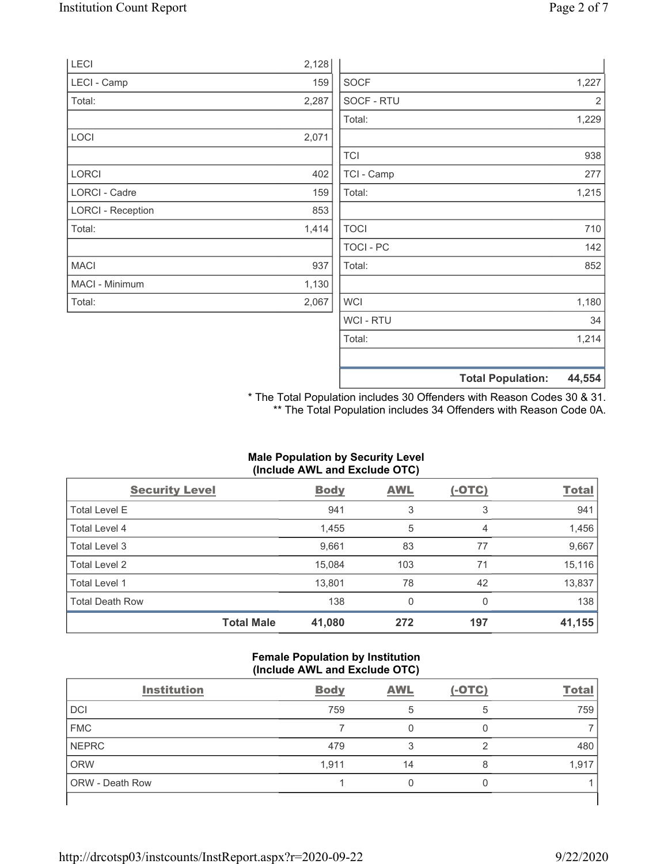|                          |       |                  | <b>Total Population:</b> | 44,554 |
|--------------------------|-------|------------------|--------------------------|--------|
|                          |       |                  |                          |        |
|                          |       | Total:           |                          | 1,214  |
|                          |       | WCI - RTU        |                          | 34     |
| Total:                   | 2,067 | <b>WCI</b>       |                          | 1,180  |
| MACI - Minimum           | 1,130 |                  |                          |        |
| <b>MACI</b>              | 937   | Total:           |                          | 852    |
|                          |       | <b>TOCI - PC</b> |                          | 142    |
| Total:                   | 1,414 | <b>TOCI</b>      |                          | 710    |
| <b>LORCI - Reception</b> | 853   |                  |                          |        |
| LORCI - Cadre            | 159   | Total:           |                          | 1,215  |
| <b>LORCI</b>             | 402   | TCI - Camp       |                          | 277    |
|                          |       | <b>TCI</b>       |                          | 938    |
| LOCI                     | 2,071 |                  |                          |        |
|                          |       | Total:           |                          | 1,229  |
| Total:                   | 2,287 | SOCF - RTU       |                          | 2      |
| LECI - Camp              | 159   | <b>SOCF</b>      |                          | 1,227  |
| LECI                     | 2,128 |                  |                          |        |

\* The Total Population includes 30 Offenders with Reason Codes 30 & 31. \*\* The Total Population includes 34 Offenders with Reason Code 0A.

# Male Population by Security Level (Include AWL and Exclude OTC)

| <b>Security Level</b>  |                   | <b>Body</b> | <b>AWL</b> | $(-OTC)$ | <b>Total</b> |
|------------------------|-------------------|-------------|------------|----------|--------------|
| Total Level E          |                   | 941         | 3          | 3        | 941          |
| Total Level 4          |                   | 1,455       | 5          | 4        | 1,456        |
| Total Level 3          |                   | 9,661       | 83         | 77       | 9,667        |
| Total Level 2          |                   | 15,084      | 103        | 71       | 15,116       |
| Total Level 1          |                   | 13,801      | 78         | 42       | 13,837       |
| <b>Total Death Row</b> |                   | 138         | 0          | 0        | 138          |
|                        | <b>Total Male</b> | 41,080      | 272        | 197      | 41,155       |

#### Female Population by Institution (Include AWL and Exclude OTC)

| <b>Institution</b> | <b>Body</b> | <b>AWL</b> | $(-OTC)$ | <b>Total</b> |
|--------------------|-------------|------------|----------|--------------|
| <b>DCI</b>         | 759         | 5          | 5        | 759          |
| <b>FMC</b>         |             |            |          |              |
| <b>NEPRC</b>       | 479         | З          | っ        | 480          |
| <b>ORW</b>         | 1,911       | 14         | 8        | 1,917        |
| ORW - Death Row    |             |            |          |              |
|                    |             |            |          |              |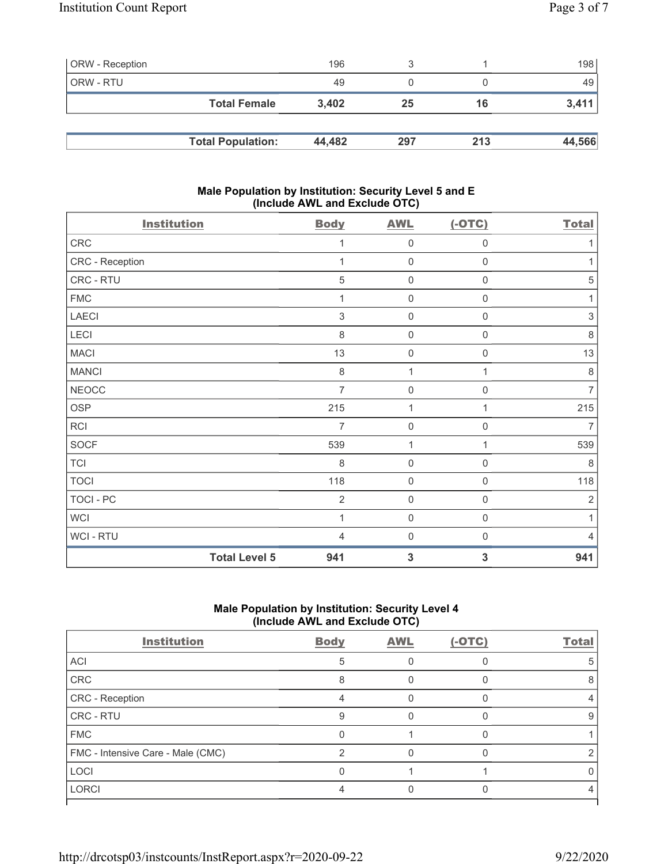| <b>ORW</b> - Reception |                          | 196    |     |     | 198 <sup>1</sup> |
|------------------------|--------------------------|--------|-----|-----|------------------|
| ORW - RTU              |                          | 49     |     |     | 49               |
|                        | <b>Total Female</b>      | 3,402  | 25  | 16  | 3,411            |
|                        |                          |        |     |     |                  |
|                        | <b>Total Population:</b> | 44,482 | 297 | 213 | 44,566           |

### Male Population by Institution: Security Level 5 and E (Include AWL and Exclude OTC)

| <b>Institution</b> |                      | <b>Body</b>    | <b>AWL</b>          | $(-OTC)$            | <b>Total</b>   |
|--------------------|----------------------|----------------|---------------------|---------------------|----------------|
| CRC                |                      | 1              | $\mathsf{O}\xspace$ | $\mathsf{O}\xspace$ | 1              |
| CRC - Reception    |                      | 1              | $\mathbf 0$         | $\mathbf 0$         | 1              |
| CRC - RTU          |                      | 5              | $\mathbf 0$         | $\mathbf 0$         | 5              |
| <b>FMC</b>         |                      | 1              | $\mathbf 0$         | $\mathbf 0$         | 1              |
| <b>LAECI</b>       |                      | 3              | $\mathsf{O}\xspace$ | 0                   | 3              |
| LECI               |                      | 8              | $\mathsf{O}\xspace$ | $\boldsymbol{0}$    | 8              |
| <b>MACI</b>        |                      | 13             | $\mathsf{O}\xspace$ | $\boldsymbol{0}$    | 13             |
| <b>MANCI</b>       |                      | $\,8\,$        | 1                   | 1                   | $\,8\,$        |
| <b>NEOCC</b>       |                      | $\overline{7}$ | $\mathsf{O}\xspace$ | $\mathsf{O}\xspace$ | $\overline{7}$ |
| <b>OSP</b>         |                      | 215            | 1                   | 1                   | 215            |
| RCI                |                      | 7              | $\mathsf{O}\xspace$ | $\boldsymbol{0}$    | $\overline{7}$ |
| <b>SOCF</b>        |                      | 539            | 1                   | 1                   | 539            |
| <b>TCI</b>         |                      | 8              | $\mathsf{O}\xspace$ | $\mathsf{O}\xspace$ | $\,8\,$        |
| <b>TOCI</b>        |                      | 118            | $\mathsf{O}\xspace$ | $\mathbf 0$         | 118            |
| <b>TOCI - PC</b>   |                      | $\overline{2}$ | $\mathbf 0$         | $\mathbf 0$         | $\sqrt{2}$     |
| <b>WCI</b>         |                      | 1              | $\mathbf 0$         | $\mathbf 0$         | 1              |
| WCI - RTU          |                      | 4              | $\mathbf 0$         | $\mathbf 0$         | 4              |
|                    | <b>Total Level 5</b> | 941            | $\mathbf{3}$        | $\mathbf{3}$        | 941            |

# Male Population by Institution: Security Level 4 (Include AWL and Exclude OTC)

| <b>Institution</b>                | <b>Body</b> | <b>AWL</b> | $(-OTC)$ | <b>Total</b> |
|-----------------------------------|-------------|------------|----------|--------------|
| ACI                               | 5           |            |          |              |
| CRC                               |             |            |          |              |
| CRC - Reception                   |             |            |          |              |
| CRC - RTU                         | g           |            |          | 9            |
| <b>FMC</b>                        |             |            |          |              |
| FMC - Intensive Care - Male (CMC) | ◠           |            |          |              |
| LOCI                              |             |            |          |              |
| <b>LORCI</b>                      |             |            |          |              |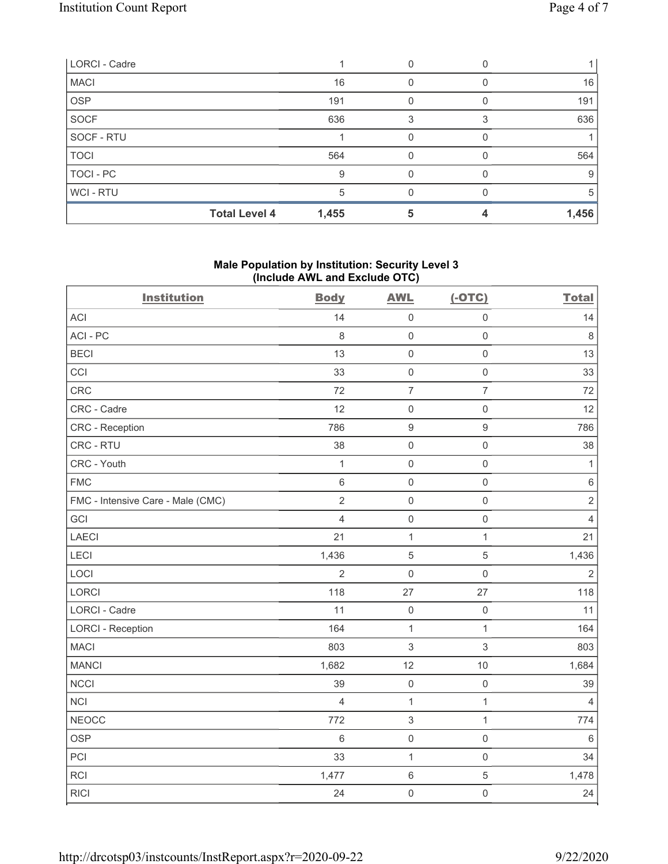| LORCI - Cadre |                      |       |                  |       |
|---------------|----------------------|-------|------------------|-------|
| <b>MACI</b>   |                      | 16    |                  | 16    |
| <b>OSP</b>    |                      | 191   | $\left( \right)$ | 191   |
| SOCF          |                      | 636   |                  | 636   |
| SOCF - RTU    |                      |       |                  |       |
| <b>TOCI</b>   |                      | 564   | O                | 564   |
| TOCI - PC     |                      | 9     |                  | 9     |
| WCI-RTU       |                      | 5     |                  | 5     |
|               | <b>Total Level 4</b> | 1,455 |                  | 1,456 |

# Male Population by Institution: Security Level 3 (Include AWL and Exclude OTC)

| <b>Institution</b>                | <b>Body</b>    | <b>AWL</b>     | $(-OTC)$            | <b>Total</b>   |
|-----------------------------------|----------------|----------------|---------------------|----------------|
| <b>ACI</b>                        | 14             | $\mathbf 0$    | $\mathsf{O}\xspace$ | 14             |
| ACI-PC                            | 8              | $\mathbf 0$    | $\mathbf 0$         | 8              |
| <b>BECI</b>                       | 13             | $\mathbf 0$    | $\mathsf{O}\xspace$ | 13             |
| CCI                               | 33             | $\mathbf 0$    | $\mathsf{O}\xspace$ | 33             |
| CRC                               | 72             | $\overline{7}$ | $\overline{7}$      | 72             |
| CRC - Cadre                       | 12             | $\mathbf 0$    | $\mathsf{O}\xspace$ | 12             |
| <b>CRC</b> - Reception            | 786            | $9$            | $\boldsymbol{9}$    | 786            |
| CRC - RTU                         | 38             | $\mathbf 0$    | $\mathsf{O}\xspace$ | 38             |
| CRC - Youth                       | $\mathbf{1}$   | $\mathbf 0$    | $\mathsf{O}\xspace$ | $\mathbf{1}$   |
| <b>FMC</b>                        | $\,6\,$        | $\mathbf 0$    | $\mathsf{O}\xspace$ | $\,6\,$        |
| FMC - Intensive Care - Male (CMC) | $\overline{2}$ | $\mathbf 0$    | $\mathsf{O}\xspace$ | $\overline{2}$ |
| GCI                               | $\overline{4}$ | $\mathbf 0$    | $\mathsf{O}\xspace$ | $\overline{4}$ |
| <b>LAECI</b>                      | 21             | $\mathbf{1}$   | $\mathbf{1}$        | 21             |
| LECI                              | 1,436          | $\sqrt{5}$     | 5                   | 1,436          |
| LOCI                              | $\overline{2}$ | $\mathsf 0$    | $\mathsf{O}\xspace$ | $\overline{2}$ |
| LORCI                             | 118            | 27             | 27                  | 118            |
| LORCI - Cadre                     | 11             | $\mathbf 0$    | $\mathsf{O}\xspace$ | 11             |
| <b>LORCI - Reception</b>          | 164            | $\mathbf{1}$   | $\mathbf{1}$        | 164            |
| <b>MACI</b>                       | 803            | $\mathbf{3}$   | 3                   | 803            |
| <b>MANCI</b>                      | 1,682          | 12             | 10                  | 1,684          |
| <b>NCCI</b>                       | 39             | $\mathbf 0$    | $\mathsf{O}\xspace$ | 39             |
| <b>NCI</b>                        | $\overline{4}$ | $\mathbf{1}$   | $\mathbf{1}$        | $\overline{4}$ |
| <b>NEOCC</b>                      | 772            | $\sqrt{3}$     | $\mathbf{1}$        | 774            |
| <b>OSP</b>                        | $6\,$          | $\mathbf 0$    | $\mathsf 0$         | 6              |
| PCI                               | 33             | $\mathbf{1}$   | $\mathsf{O}\xspace$ | 34             |
| RCI                               | 1,477          | $6\,$          | 5                   | 1,478          |
| <b>RICI</b>                       | 24             | $\mathbf 0$    | $\mathsf{O}\xspace$ | 24             |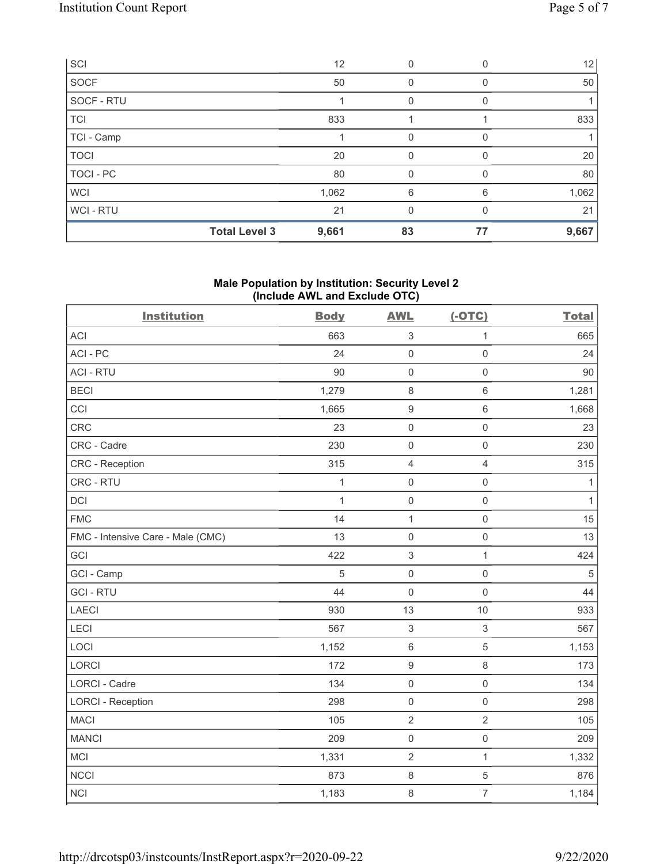| SCI         |                      | 12    | 0        |          | 12    |
|-------------|----------------------|-------|----------|----------|-------|
| SOCF        |                      | 50    | 0        | $\Omega$ | 50    |
| SOCF - RTU  |                      |       | 0        | 0        |       |
| <b>TCI</b>  |                      | 833   |          |          | 833   |
| TCI - Camp  |                      |       | 0        |          |       |
| <b>TOCI</b> |                      | 20    | 0        | $\Omega$ | 20    |
| TOCI - PC   |                      | 80    | 0        | 0        | 80    |
| <b>WCI</b>  |                      | 1,062 | 6        | 6        | 1,062 |
| WCI - RTU   |                      | 21    | $\Omega$ | 0        | 21    |
|             | <b>Total Level 3</b> | 9,661 | 83       | 77       | 9,667 |

# Male Population by Institution: Security Level 2 (Include AWL and Exclude OTC)

| <b>Institution</b>                | <b>Body</b>  | <b>AWL</b>          | $(-OTC)$            | <b>Total</b> |
|-----------------------------------|--------------|---------------------|---------------------|--------------|
| <b>ACI</b>                        | 663          | $\sqrt{3}$          | $\mathbf 1$         | 665          |
| ACI-PC                            | 24           | $\mathbf 0$         | $\mathsf{O}\xspace$ | 24           |
| <b>ACI - RTU</b>                  | 90           | $\mathbf 0$         | $\mathsf 0$         | 90           |
| <b>BECI</b>                       | 1,279        | $\,8\,$             | $\,6\,$             | 1,281        |
| CCI                               | 1,665        | $\boldsymbol{9}$    | $\,6\,$             | 1,668        |
| CRC                               | 23           | $\mathbf 0$         | $\mathsf 0$         | 23           |
| CRC - Cadre                       | 230          | $\mathsf{O}\xspace$ | $\mathsf 0$         | 230          |
| CRC - Reception                   | 315          | $\overline{4}$      | $\overline{4}$      | 315          |
| CRC - RTU                         | $\mathbf 1$  | $\mathsf{O}\xspace$ | $\mathsf 0$         | $\mathbf{1}$ |
| DCI                               | $\mathbf{1}$ | $\mathsf{O}\xspace$ | $\mathsf 0$         | $\mathbf{1}$ |
| <b>FMC</b>                        | 14           | $\mathbf 1$         | $\mathsf 0$         | 15           |
| FMC - Intensive Care - Male (CMC) | 13           | $\mathbf 0$         | $\mathbf 0$         | 13           |
| GCI                               | 422          | $\sqrt{3}$          | $\mathbf{1}$        | 424          |
| GCI - Camp                        | 5            | $\mathbf 0$         | $\mathsf 0$         | $\mathbf 5$  |
| <b>GCI-RTU</b>                    | 44           | $\mathsf{O}\xspace$ | $\mathsf{O}$        | 44           |
| <b>LAECI</b>                      | 930          | 13                  | 10                  | 933          |
| LECI                              | 567          | $\mathfrak{S}$      | $\sqrt{3}$          | 567          |
| LOCI                              | 1,152        | $\,6\,$             | $\sqrt{5}$          | 1,153        |
| LORCI                             | 172          | $\boldsymbol{9}$    | $\,8\,$             | 173          |
| <b>LORCI - Cadre</b>              | 134          | $\mathsf{O}\xspace$ | $\mathsf 0$         | 134          |
| <b>LORCI - Reception</b>          | 298          | $\mathsf{O}\xspace$ | $\mathsf 0$         | 298          |
| <b>MACI</b>                       | 105          | $\sqrt{2}$          | $\sqrt{2}$          | 105          |
| <b>MANCI</b>                      | 209          | $\mathsf{O}\xspace$ | $\mathsf 0$         | 209          |
| MCI                               | 1,331        | $\sqrt{2}$          | $\mathbf{1}$        | 1,332        |
| <b>NCCI</b>                       | 873          | $\,8\,$             | $\sqrt{5}$          | 876          |
| <b>NCI</b>                        | 1,183        | 8                   | $\overline{7}$      | 1,184        |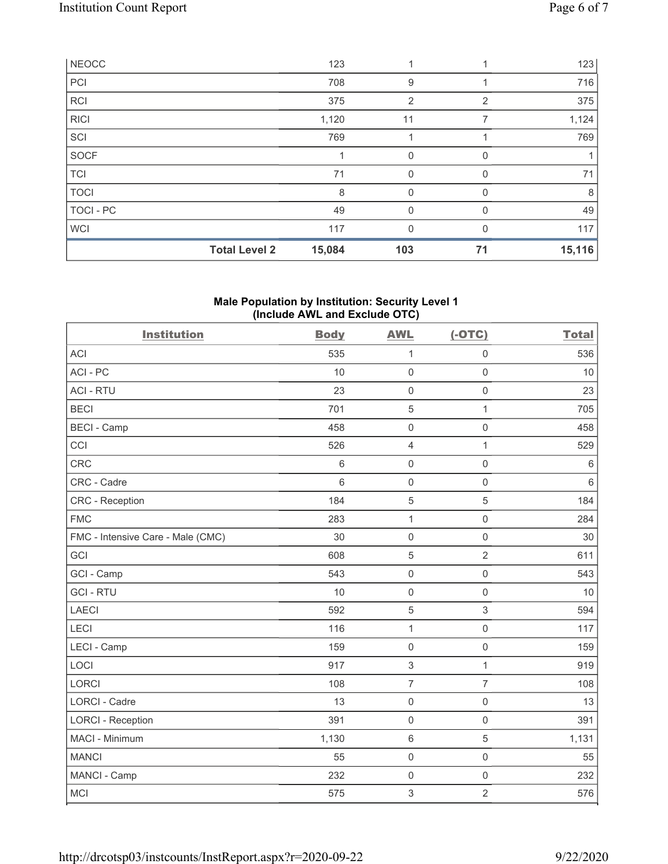| <b>RCI</b>  |                      | 375    | 2        | $\overline{2}$ | 375    |
|-------------|----------------------|--------|----------|----------------|--------|
| <b>RICI</b> |                      | 1,120  | 11       |                | 1,124  |
| SCI         |                      | 769    |          |                | 769    |
| <b>SOCF</b> |                      |        | 0        | $\Omega$       |        |
| <b>TCI</b>  |                      | 71     | $\Omega$ | $\Omega$       | 71     |
| <b>TOCI</b> |                      | 8      | 0        | 0              | 8      |
| TOCI - PC   |                      | 49     | $\Omega$ | $\Omega$       | 49     |
| <b>WCI</b>  |                      | 117    | 0        |                | 117    |
|             | <b>Total Level 2</b> | 15,084 | 103      | 71             | 15,116 |

# Male Population by Institution: Security Level 1 (Include AWL and Exclude OTC)

| <b>Institution</b>                | <b>Body</b> | <b>AWL</b>          | $(-OTC)$            | <b>Total</b> |
|-----------------------------------|-------------|---------------------|---------------------|--------------|
| <b>ACI</b>                        | 535         | $\mathbf{1}$        | $\mathsf 0$         | 536          |
| ACI-PC                            | 10          | $\mathsf{O}\xspace$ | $\mathsf 0$         | 10           |
| <b>ACI - RTU</b>                  | 23          | $\mathbf 0$         | $\mathsf 0$         | 23           |
| <b>BECI</b>                       | 701         | $\mathbf 5$         | $\overline{1}$      | 705          |
| <b>BECI - Camp</b>                | 458         | $\mathbf 0$         | $\mathsf{O}\xspace$ | 458          |
| CCI                               | 526         | $\overline{4}$      | $\mathbf{1}$        | 529          |
| CRC                               | $\,6\,$     | $\mathsf{O}\xspace$ | $\mathsf{O}\xspace$ | $\,6\,$      |
| CRC - Cadre                       | 6           | $\mathbf 0$         | $\mathsf{O}\xspace$ | $6\,$        |
| <b>CRC</b> - Reception            | 184         | 5                   | 5                   | 184          |
| <b>FMC</b>                        | 283         | $\mathbf{1}$        | $\mathsf 0$         | 284          |
| FMC - Intensive Care - Male (CMC) | 30          | $\mathsf{O}\xspace$ | $\mathsf{O}\xspace$ | 30           |
| GCI                               | 608         | 5                   | $\overline{2}$      | 611          |
| GCI - Camp                        | 543         | $\mathsf{O}\xspace$ | $\mathsf{O}\xspace$ | 543          |
| <b>GCI-RTU</b>                    | 10          | $\mathbf 0$         | $\mathsf 0$         | 10           |
| <b>LAECI</b>                      | 592         | 5                   | $\sqrt{3}$          | 594          |
| LECI                              | 116         | $\mathbf 1$         | $\mathsf{O}\xspace$ | 117          |
| LECI - Camp                       | 159         | $\mathbf 0$         | $\mathsf{O}\xspace$ | 159          |
| LOCI                              | 917         | $\sqrt{3}$          | $\mathbf{1}$        | 919          |
| <b>LORCI</b>                      | 108         | $\overline{7}$      | $\overline{7}$      | 108          |
| LORCI - Cadre                     | 13          | $\mathsf{O}\xspace$ | $\mathsf{O}\xspace$ | 13           |
| <b>LORCI - Reception</b>          | 391         | $\mathsf{O}\xspace$ | $\mathsf 0$         | 391          |
| MACI - Minimum                    | 1,130       | $\,6\,$             | $\sqrt{5}$          | 1,131        |
| <b>MANCI</b>                      | 55          | $\mathbf 0$         | $\mathsf{O}\xspace$ | 55           |
| MANCI - Camp                      | 232         | $\mathsf{O}\xspace$ | $\mathsf{O}\xspace$ | 232          |
| MCI                               | 575         | $\sqrt{3}$          | $\overline{2}$      | 576          |